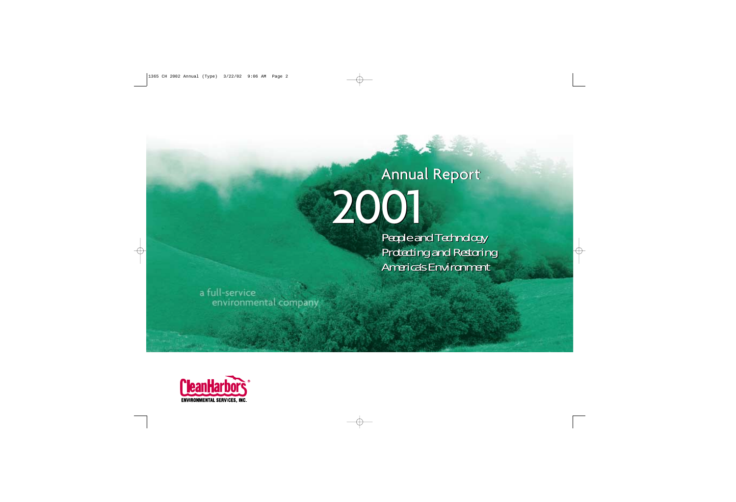## Annual Report Annual Report 2001 2001

*People and Technology People and Technology Protecting and Restoring Protecting and Restoring America's Environment America's Environment*

a full-service environmental company

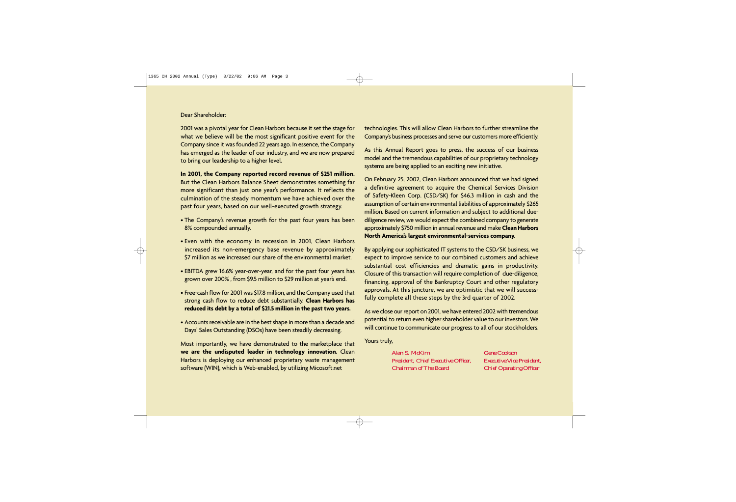Dear Shareholder:

2001 was a pivotal year for Clean Harbors because it set the stage for what we believe will be the most significant positive event for the Company since it was founded 22 years ago. In essence, the Company has emerged as the leader of our industry, and we are now prepared to bring our leadership to a higher level.

**In 2001, the Company reported record revenue of \$251 million.** But the Clean Harbors Balance Sheet demonstrates something far more significant than just one year's performance. It reflects the culmination of the steady momentum we have achieved over the past four years, based on our well-executed growth strategy.

- The Company's revenue growth for the past four years has been 8% compounded annually.
- Even with the economy in recession in 2001, Clean Harbors increased its non-emergency base revenue by approximately \$7 million as we increased our share of the environmental market.
- EBITDA grew 16.6% year-over-year, and for the past four years has grown over 200% , from \$9.5 million to \$29 million at year's end.
- Free-cash flow for 2001 was \$17.8 million, and the Company used that strong cash flow to reduce debt substantially. **Clean Harbors has reduced its debt by a total of \$21.5 million in the past two years.**
- Accounts receivable are in the best shape in more than a decade and Days' Sales Outstanding (DSOs) have been steadily decreasing.

Most importantly, we have demonstrated to the marketplace that **we are the undisputed leader in technology innovation.** Clean Harbors is deploying our enhanced proprietary waste management software (WIN), which is Web-enabled, by utilizing Micosoft.net

technologies. This will allow Clean Harbors to further streamline the Company's business processes and serve our customers more efficiently.

As this Annual Report goes to press, the success of our business model and the tremendous capabilities of our proprietary technology systems are being applied to an exciting new initiative.

On February 25, 2002, Clean Harbors announced that we had signed a definitive agreement to acquire the Chemical Services Division of Safety-Kleen Corp. (CSD/SK) for \$46.3 million in cash and the assumption of certain environmental liabilities of approximately \$265 million. Based on current information and subject to additional duediligence review, we would expect the combined company to generate approximately \$750 million in annual revenue and make **Clean Harbors North America's largest environmental-services company.** 

By applying our sophisticated IT systems to the CSD/SK business, we expect to improve service to our combined customers and achieve substantial cost efficiencies and dramatic gains in productivity. Closure of this transaction will require completion of due-diligence, financing, approval of the Bankruptcy Court and other regulatory approvals. At this juncture, we are optimistic that we will successfully complete all these steps by the 3rd quarter of 2002.

As we close our report on 2001, we have entered 2002 with tremendous potential to return even higher shareholder value to our investors. We will continue to communicate our progress to all of our stockholders.

Yours truly,

*Alan S. McKim Gene Cookson President, Chief Executive Officer, Executive Vice President, Chairman of The Board Chief Operating Officer*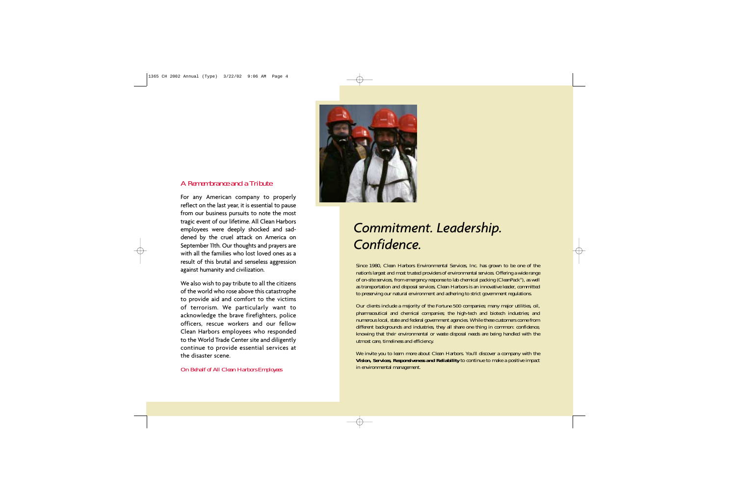## *A Remembrance and a Tribute*

For any American company to properly reflect on the last year, it is essential to pause from our business pursuits to note the most tragic event of our lifetime. All Clean Harbors employees were deeply shocked and saddened by the cruel attack on America on September 11th. Our thoughts and prayers are with all the families who lost loved ones as a result of this brutal and senseless aggression against humanity and civilization.

We also wish to pay tribute to all the citizens of the world who rose above this catastrophe to provide aid and comfort to the victims of terrorism. We particularly want to acknowledge the brave firefighters, police officers, rescue workers and our fellow Clean Harbors employees who responded to the World Trade Center site and diligently continue to provide essential services at the disaster scene.

## *On Behalf of All Clean Harbors Employees*



## *Commitment. Leadership. Confidence.*

Since 1980, Clean Harbors Environmental Services, Inc. has grown to be one of the nation's largest and most trusted providers of environmental services. Offering a wide range of on-site services, from emergency response to lab chemical packing (CleanPack®), as well as transportation and disposal services, Clean Harbors is an innovative leader, committed to preserving our natural environment and adhering to strict government regulations.

Our clients include a majority of the *Fortune 500* companies; many major utilities, oil, pharmaceutical and chemical companies; the high-tech and biotech industries; and numerous local, state and federal government agencies. While these customers come from different backgrounds and industries, they all share one thing in common: confidence, knowing that their environmental or waste disposal needs are being handled with the utmost care, timeliness and efficiency.

We invite you to learn more about Clean Harbors. You'll discover a company with the *Vision, Services, Responsiveness and Reliability* to continue to make a positive impact in environmental management.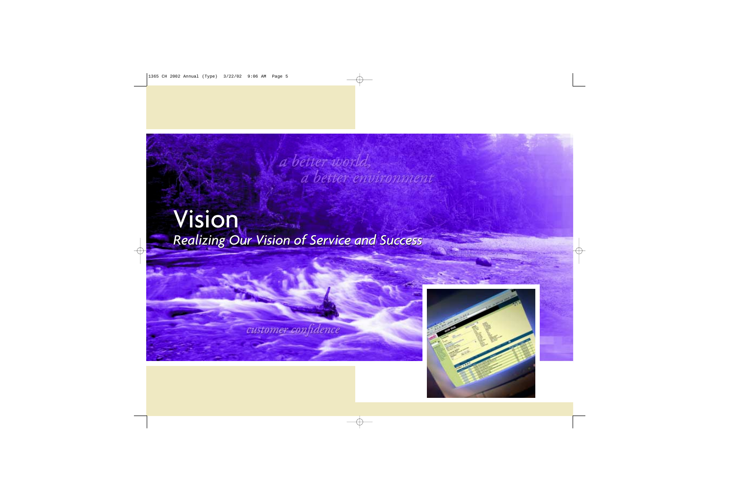## Vision Vision *Realizing Our Vision of Service and Success Realizing Our Vision of Service and Success*

a better world,

a better environment

customer confidence

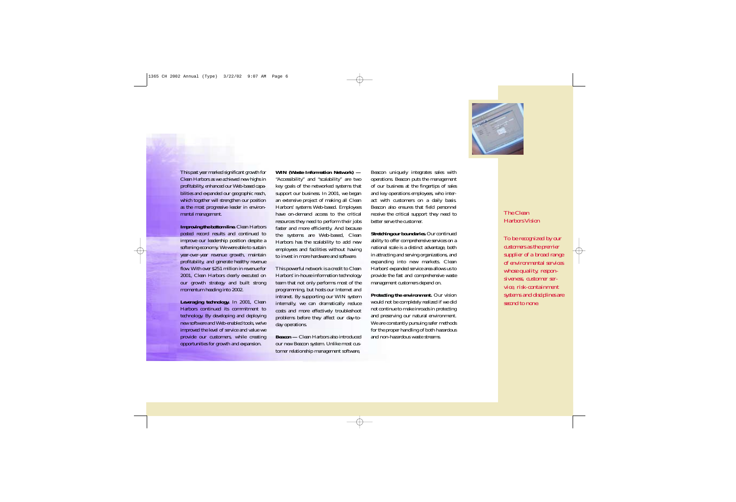

This past year marked significant growth for Clean Harbors as we achieved new highs in profitability, enhanced our Web-based capabilities and expanded our geographic reach, which together will strengthen our position as the most progressive leader in environmental management.

*Improving the bottom line.* Clean Harbors posted record results and continued to improve our leadership position despite a softening economy. We were able to sustain year-over-year revenue growth, maintain profitability, and generate healthy revenue flow. With over \$251 million in revenue for 2001, Clean Harbors clearly executed on our growth strategy and built strong momentum heading into 2002.

*Leveraging technology.* In 2001, Clean Harbors continued its commitment to technology. By developing and deploying new software and Web-enabled tools, we've improved the level of service and value we provide our customers, while creating opportunities for growth and expansion.

*WIN (Waste Information Network) —* "Accessibility" and "scalability" are two key goals of the networked systems that support our business. In 2001, we began an extensive project of making all Clean Harbors' systems Web-based. Employees have on-demand access to the critical resources they need to perform their jobs faster and more efficiently. And because the systems are Web-based, Clean Harbors has the scalability to add new employees and facilities without having to invest in more hardware and software.

This powerful network is a credit to Clean Harbors' in-house information technology team that not only performs most of the programming, but hosts our Internet and intranet. By supporting our WIN system internally, we can dramatically reduce costs and more effectively troubleshoot problems before they affect our day-today operations.

*Beacon —* Clean Harbors also introduced our new Beacon system. Unlike most customer relationship management software,

Beacon uniquely integrates sales with operations. Beacon puts the management of our business at the fingertips of sales and key operations employees, who interact with customers on a daily basis. Beacon also ensures that field personnel receive the critical support they need to better serve the customer.

*Stretching our boundaries.* Our continued ability to offer comprehensive services on a national scale is a distinct advantage, both in attracting and serving organizations, and expanding into new markets. Clean Harbors' expanded service area allows us to provide the fast and comprehensive waste management customers depend on.

*Protecting the environment.* Our vision would not be completely realized if we did not continue to make inroads in protecting and preserving our natural environment. We are constantly pursuing safer methods for the proper handling of both hazardous and non-hazardous waste streams.

*The Clean Harbors Vision*

*To be recognized by our customers as the premier supplier of a broad range of environmental services whose quality, responsiveness, customer service, risk-containment systems and disciplines are second to none.*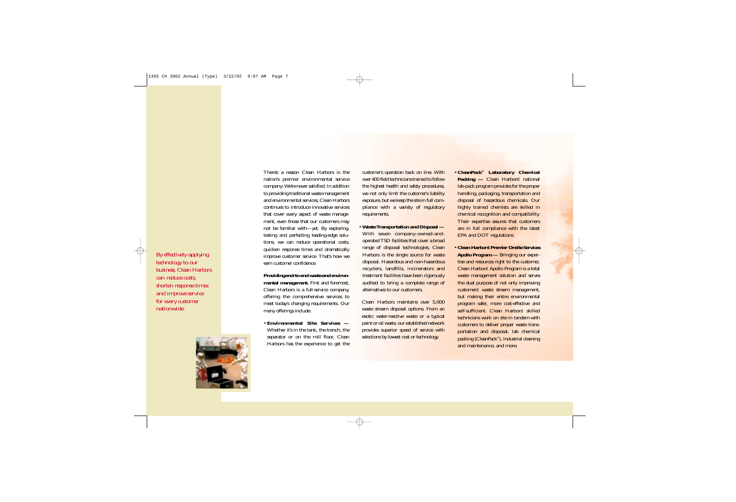*By effectively applying technology to our business, Clean Harbors can reduce costs, shorten response times and improve service for every customer nationwide.*



There's a reason Clean Harbors is the nation's premier environmental service company: We're never satisfied. In addition to providing traditional waste management and environmental services, Clean Harbors continues to introduce innovative services that cover every aspect of waste management, even those that our customers may not be familiar with—yet. By exploring, testing and perfecting leading-edge solutions, we can reduce operational costs, quicken response times and dramatically improve customer service. That's how we earn customer confidence.

*Providing end-to-end waste and environmental management.* First and foremost, Clean Harbors is a full-service company, offering the comprehensive services to meet today's changing requirements. Our many offerings include:

• *Environmental Site Services —* Whether it's in the tank, the trench, the separator or on the mill floor. Clean Harbors has the experience to get the

customer's operation back on line. With over 400 field technicians trained to follow the highest health and safety procedures, we not only limit the customer's liability exposure, but we keep the site in full compliance with a variety of regulatory requirements.

• *Waste Transportation and Disposal —* With seven company-owned-andoperated TSD facilities that cover a broad range of disposal technologies, Clean Harbors is the single source for waste disposal. Hazardous and non-hazardous recyclers, landfills, incinerators and treatment facilities have been rigorously audited to bring a complete range of alternatives to our customers.

Clean Harbors maintains over 5,000 waste stream disposal options. From an exotic water-reactive waste or a typical paint or oil waste, our established network provides superior speed of service with selections by lowest cost or technology.

- *CleanPack® Laboratory Chemical* **Packing** — Clean Harbors' national lab-pack program provides for the proper handling, packaging, transportation and disposal of hazardous chemicals. Our highly trained chemists are skilled in chemical recognition and compatibility. Their expertise assures that customers are in full compliance with the latest EPA and DOT regulations.
- *Clean Harbors' Premier Onsite Services Apollo Program —* Bringing our expertise and resources right to the customer, Clean Harbors' Apollo Program is a total waste management solution and serves the dual purpose of not only improving customers' waste stream management, but making their entire environmental program safer, more cost-effective and self-sufficient. Clean Harbors' skilled technicians work on site in tandem with customers to deliver proper waste transportation and disposal, lab chemical packing (CleanPack®), industrial cleaning and maintenance, and more.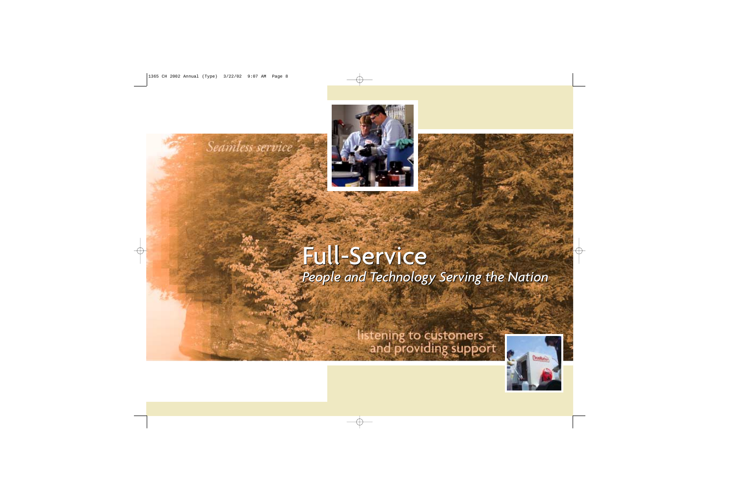



## Full-Service Full-Service *People and Technology Serving the Nation People and Technology Serving the Nation*

# listening to customers<br>and providing support

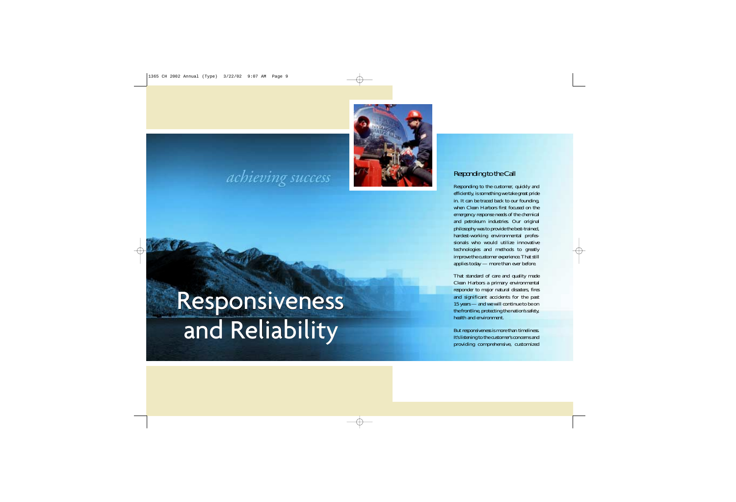

## achieving success

## Responsiveness Responsiveness and Reliability and Reliability

## *Responding to the Call*

Responding to the customer, quickly and efficiently, is something we take great pride in. It can be traced back to our founding, when Clean Harbors first focused on the emergency response needs of the chemical and petroleum industries. Our original philosophy was to provide the best-trained, hardest-working environmental professionals who would utilize innovative technologies and methods to greatly improve the customer experience. That still applies today — more than ever before.

That standard of care and quality made Clean Harbors a primary environmental responder to major natural disasters, fires and significant accidents for the past 15 years — and we will continue to be on the frontline, protecting the nation's safety, health and environment.

But responsiveness is more than timeliness. It's listening to the customer's concerns and providing comprehensive, customized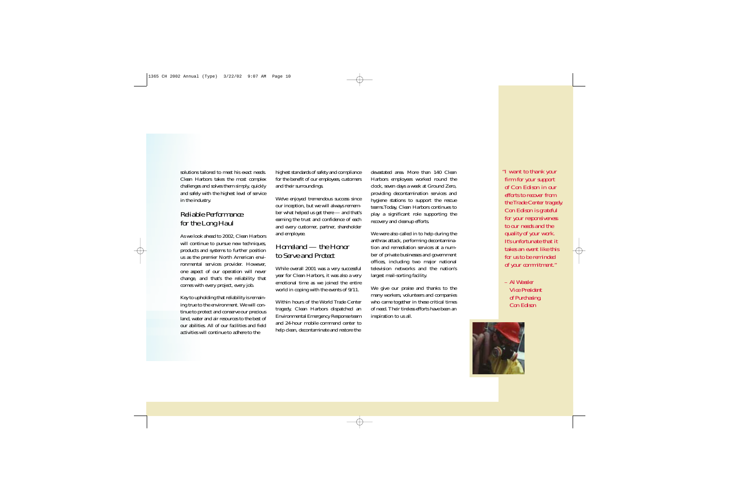solutions tailored to meet his exact needs. Clean Harbors takes the most complex challenges and solves them simply, quickly and safely with the highest level of service in the industry.

## *Reliable Performance for the Long Haul*

As we look ahead to 2002, Clean Harbors will continue to pursue new techniques, products and systems to further position us as the premier North American environmental services provider. However, one aspect of our operation will never change, and that's the reliability that comes with every project, every job.

Key to upholding that reliability is remaining true to the environment. We will continue to protect and conserve our precious land, water and air resources to the best of our abilities. All of our facilities and field activities will continue to adhere to the

highest standards of safety and compliance for the benefit of our employees, customers and their surroundings.

We've enjoyed tremendous success since our inception, but we will always remember what helped us get there — and that's earning the trust and confidence of each and every customer, partner, shareholder and employee.

## *Homeland — the Honor to Serve and Protect*

While overall 2001 was a very successful year for Clean Harbors, it was also a very emotional time as we joined the entire world in coping with the events of 9/11.

Within hours of the World Trade Center tragedy, Clean Harbors dispatched an Environmental Emergency Response team and 24-hour mobile command center to help clean, decontaminate and restore the

devastated area. More than 140 Clean Harbors employees worked round the clock, seven days a week at Ground Zero, providing decontamination services and hygiene stations to support the rescue teams.Today, Clean Harbors continues to play a significant role supporting the recovery and cleanup efforts.

We were also called in to help during the anthrax attack, performing decontamination and remediation services at a number of private businesses and government offices, including two major national television networks and the nation's largest mail-sorting facility.

We give our praise and thanks to the many workers, volunteers and companies who came together in these critical times of need. Their tireless efforts have been an inspiration to us all.

*"I want to thank your firm for your support of Con Edison in our efforts to recover from the Trade Center tragedy. Con Edison is grateful for your responsiveness to our needs and the quality of your work. It's unfortunate that it takes an event like this for us to be reminded of your commitment."*

*– Al Wassler Vice President of Purchasing, Con Edison*

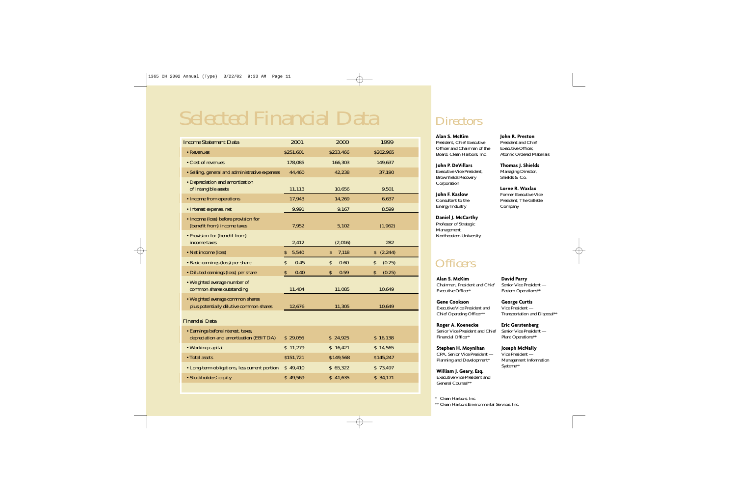## Selected Financial Data

| <b>Income Statement Data</b>                                                 | 2001        | 2000        | 1999           |  |  |  |  |  |
|------------------------------------------------------------------------------|-------------|-------------|----------------|--|--|--|--|--|
| • Revenues                                                                   | \$251,601   | \$233,466   | \$202,965      |  |  |  |  |  |
| • Cost of revenues                                                           | 178,085     | 166,303     | 149,637        |  |  |  |  |  |
| · Selling, general and administrative expenses                               | 44,460      | 42,238      | 37,190         |  |  |  |  |  |
| • Depreciation and amortization<br>of intangible assets                      | 11,113      | 10,656      | 9,501          |  |  |  |  |  |
| • Income from operations                                                     | 17,943      | 14,269      | 6,637          |  |  |  |  |  |
| • Interest expense, net                                                      | 9,991       | 9,167       | 8,599          |  |  |  |  |  |
| • Income (loss) before provision for<br>(benefit from) income taxes          | 7,952       | 5,102       | (1, 962)       |  |  |  |  |  |
| • Provision for (benefit from)<br>income taxes                               | 2,412       | (2,016)     | 282            |  |  |  |  |  |
| • Net income (loss)                                                          | 5,540<br>\$ | \$<br>7,118 | (2, 244)<br>\$ |  |  |  |  |  |
| • Basic earnings (loss) per share                                            | 0.45<br>\$  | 0.60<br>\$  | (0.25)<br>\$   |  |  |  |  |  |
| • Diluted earnings (loss) per share                                          | 0.40<br>\$  | \$<br>0.59  | \$<br>(0.25)   |  |  |  |  |  |
| • Weighted average number of<br>common shares outstanding                    | 11,404      | 11,085      | 10,649         |  |  |  |  |  |
| • Weighted average common shares<br>plus potentially dilutive common shares  | 12,676      | 11,305      | 10,649         |  |  |  |  |  |
| <b>Financial Data</b>                                                        |             |             |                |  |  |  |  |  |
| • Earnings before interest, taxes,<br>depreciation and amortization (EBITDA) | \$29,056    | \$24,925    | \$16,138       |  |  |  |  |  |
| • Working capital                                                            | \$11,279    | \$16,421    | \$14,565       |  |  |  |  |  |
| • Total assets                                                               | \$151,721   | \$149,568   | \$145,247      |  |  |  |  |  |
| • Long-term obligations, less current portion                                | \$49,410    | \$65,322    | \$73,497       |  |  |  |  |  |
| • Stockholders' equity                                                       | \$49,569    | \$41,635    | \$34,171       |  |  |  |  |  |

## **Directors**

### **Alan S. McKim**

President, Chief Executive Officer and Chairman of the Board, Clean Harbors, Inc.

**John P. DeVillars** Executive Vice President, Brownfields Recovery Corporation

**John F. Kaslow** Consultant to the Energy Industry

**Daniel J. McCarthy**  Professor of Strategic Management, Northeastern University

## **Officers**

**Alan S. McKim** Chairman, President and Chief Executive Officer\*

**David Parry** Senior Vice President — Eastern Operations\*\*

**George Curtis** Vice President —

**Gene Cookson** Executive Vice President and Chief Operating Officer\*\*

**Roger A. Koenecke** Senior Vice President and Chief Financial Officer\*

**Stephen H. Moynihan** CPA, Senior Vice President — Planning and Development\*

**William J. Geary, Esq.** Executive Vice President and General Counsel\*\*

#### **John R. Preston** President and Chief Executive Officer,

Atomic Ordered Materials

**Thomas J. Shields** Managing Director, Shields & Co.

## **Lorne R. Waxlax**

Former Executive Vice President, The Gillette Company

Transportation and Disposal\*\* **Eric Gerstenberg**

Senior Vice President — Plant Operations\*\*

## **Joseph McNally**

Vice President — Management Information Systems\*\*

*\* Clean Harbors, Inc. \*\* Clean Harbors Environmental Services, Inc.*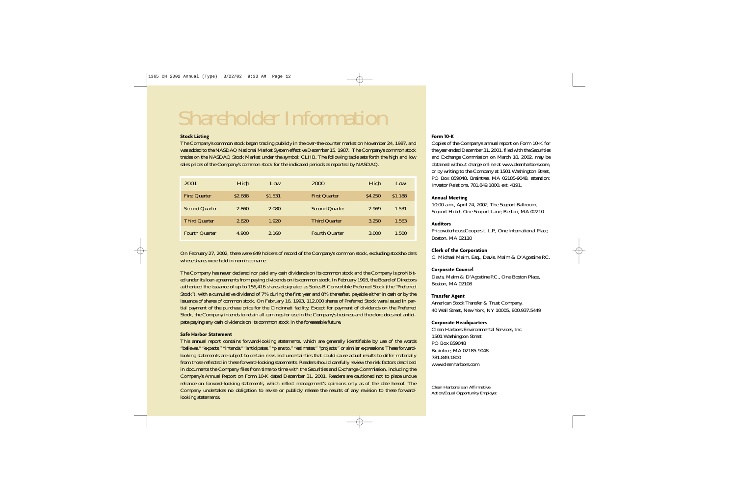## Shareholder Information

#### **Stock Listing**

The Company's common stock began trading publicly in the over-the-counter market on November 24, 1987, and was added to the NASDAQ National Market System effective December 15, 1987. The Company's common stock trades on the NASDAQ Stock Market under the symbol: CLHB. The following table sets forth the high and low sales prices of the Company's common stock for the indicated periods as reported by NASDAQ.

| <i>2001</i>           | High    | Low     | <i>2000</i>           | High    | Low     |
|-----------------------|---------|---------|-----------------------|---------|---------|
| <b>First Quarter</b>  | \$2.688 | \$1.531 | <b>First Quarter</b>  | \$4.250 | \$1.188 |
| <b>Second Quarter</b> | 2.860   | 2.080   | <b>Second Quarter</b> | 2.969   | 1.531   |
| <b>Third Quarter</b>  | 2.820   | 1.920   | Third Quarter         | 3.250   | 1.563   |
| <b>Fourth Quarter</b> | 4.900   | 2.160   | <b>Fourth Quarter</b> | 3.000   | 1.500   |

On February 27, 2002, there were 649 holders of record of the Company's common stock, excluding stockholders whose shares were held in nominee name.

The Company has never declared nor paid any cash dividends on its common stock and the Company is prohibited under its loan agreements from paying dividends on its common stock. In February 1993, the Board of Directors authorized the issuance of up to 156,416 shares designated as Series B Convertible Preferred Stock (the "Preferred Stock"), with a cumulative dividend of 7% during the first year and 8% thereafter, payable either in cash or by the issuance of shares of common stock. On February 16, 1993, 112,000 shares of Preferred Stock were issued in partial payment of the purchase price for the Cincinnati facility. Except for payment of dividends on the Preferred Stock, the Company intends to retain all earnings for use in the Company's business and therefore does not anticipate paying any cash dividends on its common stock in the foreseeable future.

#### **Safe Harbor Statement**

This annual report contains forward-looking statements, which are generally identifiable by use of the words "believes," "expects," "intends," "anticipates," "plans to," "estimates," "projects," or similar expressions. These forwardlooking statements are subject to certain risks and uncertainties that could cause actual results to differ materially from those reflected in these forward-looking statements. Readers should carefully review the risk factors described in documents the Company files from time to time with the Securities and Exchange Commission, including the Company's Annual Report on Form 10-K dated December 31, 2001. Readers are cautioned not to place undue reliance on forward-looking statements, which reflect management's opinions only as of the date hereof. The Company undertakes no obligation to revise or publicly release the results of any revision to these forwardlooking statements.

#### **Form 10-K**

Copies of the Company's annual report on Form 10-K for the year ended December 31, 2001, filed with the Securities and Exchange Commission on March 18, 2002, may be obtained without charge online at www.cleanharbors.com, or by writing to the Company at 1501 Washington Street, PO Box 859048, Braintree, MA 02185-9048, attention: Investor Relations, 781.849.1800, ext. 4191.

## **Annual Meeting**

10:00 a.m., April 24, 2002, The Seaport Ballroom, Seaport Hotel, One Seaport Lane, Boston, MA 02210

### **Auditors**

PricewaterhouseCoopers L.L.P., One International Place, Boston, MA 02110

### **Clerk of the Corporation**

C. Michael Malm, Esq., Davis, Malm & D'Agostine P.C.

### **Corporate Counsel**

Davis, Malm & D'Agostine P.C., One Boston Place, Boston, MA 02108

#### **Transfer Agent**

American Stock Transfer & Trust Company, 40 Wall Street, New York, NY 10005, 800.937.5449

#### **Corporate Headquarters**

Clean Harbors Environmental Services, Inc. 1501 Washington Street PO Box 859048 Braintree, MA 02185-9048 781.849.1800 www.cleanharbors.com

*Clean Harbors is an Affirmative Action/Equal Opportunity Employer.*